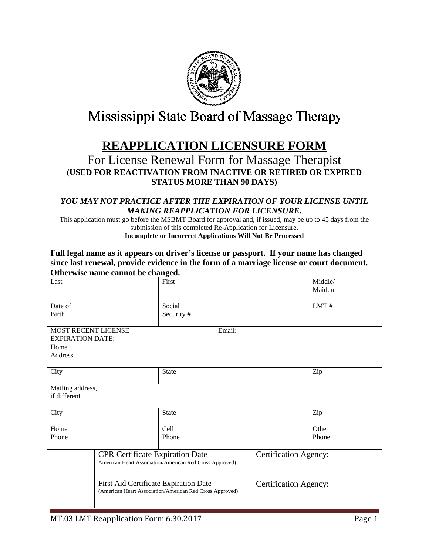

# Mississippi State Board of Massage Therapy

## **REAPPLICATION LICENSURE FORM**

### For License Renewal Form for Massage Therapist **(USED FOR REACTIVATION FROM INACTIVE OR RETIRED OR EXPIRED STATUS MORE THAN 90 DAYS)**

#### *YOU MAY NOT PRACTICE AFTER THE EXPIRATION OF YOUR LICENSE UNTIL MAKING REAPPLICATION FOR LICENSURE.*

This application must go before the MSBMT Board for approval and, if issued, may be up to 45 days from the submission of this completed Re-Application for Licensure. **Incomplete or Incorrect Applications Will Not Be Processed** 

|                                                          | Full legal name as it appears on driver's license or passport. If your name has changed           |                                       |                              |                              |        |
|----------------------------------------------------------|---------------------------------------------------------------------------------------------------|---------------------------------------|------------------------------|------------------------------|--------|
|                                                          | since last renewal, provide evidence in the form of a marriage license or court document.         |                                       |                              |                              |        |
|                                                          | Otherwise name cannot be changed.                                                                 |                                       |                              |                              |        |
| Last                                                     |                                                                                                   | First                                 |                              | Middle/                      |        |
|                                                          |                                                                                                   |                                       |                              |                              | Maiden |
|                                                          |                                                                                                   |                                       |                              |                              | LMT#   |
| <b>Birth</b>                                             | Date of                                                                                           |                                       | Social<br>Security#          |                              |        |
|                                                          |                                                                                                   |                                       |                              |                              |        |
| <b>MOST RECENT LICENSE</b>                               |                                                                                                   | Email:                                |                              |                              |        |
| <b>EXPIRATION DATE:</b>                                  |                                                                                                   |                                       |                              |                              |        |
| Home                                                     |                                                                                                   |                                       |                              |                              |        |
| Address                                                  |                                                                                                   |                                       |                              |                              |        |
|                                                          |                                                                                                   |                                       |                              |                              |        |
| City                                                     |                                                                                                   | <b>State</b>                          |                              | Zip                          |        |
| Mailing address,                                         |                                                                                                   |                                       |                              |                              |        |
| if different                                             |                                                                                                   |                                       |                              |                              |        |
|                                                          |                                                                                                   |                                       |                              |                              |        |
| City                                                     |                                                                                                   | <b>State</b>                          |                              | Zip                          |        |
|                                                          |                                                                                                   |                                       |                              |                              |        |
| Home                                                     |                                                                                                   | Cell                                  |                              | Other                        |        |
| Phone                                                    |                                                                                                   | Phone                                 |                              |                              | Phone  |
|                                                          |                                                                                                   |                                       |                              | <b>Certification Agency:</b> |        |
|                                                          | <b>CPR Certificate Expiration Date</b><br>American Heart Association/American Red Cross Approved) |                                       |                              |                              |        |
|                                                          |                                                                                                   |                                       |                              |                              |        |
|                                                          |                                                                                                   | First Aid Certificate Expiration Date |                              |                              |        |
| (American Heart Association/American Red Cross Approved) |                                                                                                   |                                       | <b>Certification Agency:</b> |                              |        |
|                                                          |                                                                                                   |                                       |                              |                              |        |
|                                                          |                                                                                                   |                                       |                              |                              |        |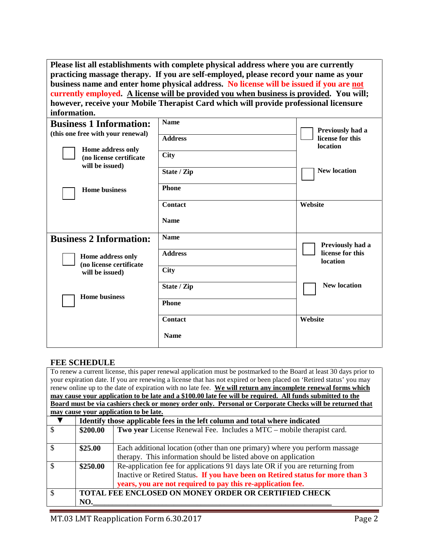**Please list all establishments with complete physical address where you are currently practicing massage therapy. If you are self-employed, please record your name as your business name and enter home physical address. No license will be issued if you are not currently employed. A license will be provided you when business is provided. You will; however, receive your Mobile Therapist Card which will provide professional licensure information.**

| <b>Business 1 Information:</b><br>(this one free with your renewal) | <b>Name</b>    | Previously had a             |  |
|---------------------------------------------------------------------|----------------|------------------------------|--|
|                                                                     | <b>Address</b> | license for this<br>location |  |
| Home address only<br>(no license certificate<br>will be issued)     | <b>City</b>    |                              |  |
|                                                                     | State / Zip    | <b>New location</b>          |  |
| <b>Home business</b>                                                | <b>Phone</b>   |                              |  |
|                                                                     | <b>Contact</b> | Website                      |  |
|                                                                     | <b>Name</b>    |                              |  |
| <b>Business 2 Information:</b>                                      | <b>Name</b>    | Previously had a             |  |
| Home address only<br>(no license certificate                        | <b>Address</b> | license for this<br>location |  |
| will be issued)                                                     | <b>City</b>    |                              |  |
| <b>Home business</b>                                                | State / Zip    | <b>New location</b>          |  |
|                                                                     | <b>Phone</b>   |                              |  |
|                                                                     | Contact        | Website                      |  |
|                                                                     | <b>Name</b>    |                              |  |

#### **FEE SCHEDULE**

|                                                                                                                     |                                                                             | To renew a current license, this paper renewal application must be postmarked to the Board at least 30 days prior to |  |
|---------------------------------------------------------------------------------------------------------------------|-----------------------------------------------------------------------------|----------------------------------------------------------------------------------------------------------------------|--|
| your expiration date. If you are renewing a license that has not expired or been placed on 'Retired status' you may |                                                                             |                                                                                                                      |  |
| renew online up to the date of expiration with no late fee. We will return any incomplete renewal forms which       |                                                                             |                                                                                                                      |  |
|                                                                                                                     |                                                                             | may cause your application to be late and a \$100.00 late fee will be required. All funds submitted to the           |  |
| Board must be via cashiers check or money order only. Personal or Corporate Checks will be returned that            |                                                                             |                                                                                                                      |  |
| may cause your application to be late.                                                                              |                                                                             |                                                                                                                      |  |
|                                                                                                                     | Identify those applicable fees in the left column and total where indicated |                                                                                                                      |  |
| \$                                                                                                                  | \$200.00                                                                    | Two year License Renewal Fee. Includes a MTC – mobile therapist card.                                                |  |
|                                                                                                                     |                                                                             |                                                                                                                      |  |
| \$                                                                                                                  | \$25.00                                                                     | Each additional location (other than one primary) where you perform massage                                          |  |
|                                                                                                                     |                                                                             | therapy. This information should be listed above on application                                                      |  |
| \$                                                                                                                  | \$250.00                                                                    | Re-application fee for applications 91 days late OR if you are returning from                                        |  |
|                                                                                                                     |                                                                             | Inactive or Retired Status. If you have been on Retired status for more than 3                                       |  |
|                                                                                                                     |                                                                             | years, you are not required to pay this re-application fee.                                                          |  |
| \$                                                                                                                  | <b>TOTAL FEE ENCLOSED ON MONEY ORDER OR CERTIFIED CHECK</b>                 |                                                                                                                      |  |
|                                                                                                                     | NO.                                                                         |                                                                                                                      |  |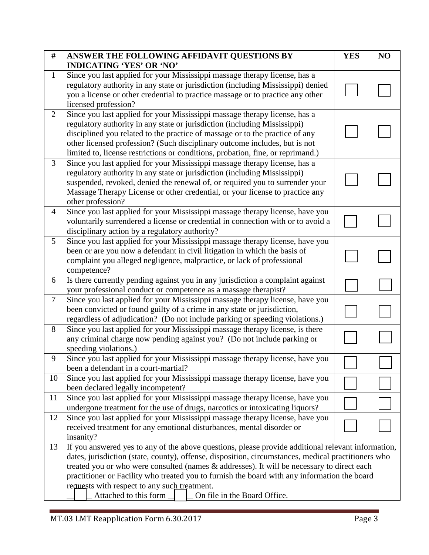| #              | ANSWER THE FOLLOWING AFFIDAVIT QUESTIONS BY                                                                                                                                                               | <b>YES</b> | NO |
|----------------|-----------------------------------------------------------------------------------------------------------------------------------------------------------------------------------------------------------|------------|----|
|                | <b>INDICATING 'YES' OR 'NO'</b>                                                                                                                                                                           |            |    |
| $\mathbf{1}$   | Since you last applied for your Mississippi massage therapy license, has a                                                                                                                                |            |    |
|                | regulatory authority in any state or jurisdiction (including Mississippi) denied                                                                                                                          |            |    |
|                | you a license or other credential to practice massage or to practice any other                                                                                                                            |            |    |
|                | licensed profession?                                                                                                                                                                                      |            |    |
| $\overline{2}$ | Since you last applied for your Mississippi massage therapy license, has a                                                                                                                                |            |    |
|                | regulatory authority in any state or jurisdiction (including Mississippi)                                                                                                                                 |            |    |
|                | disciplined you related to the practice of massage or to the practice of any                                                                                                                              |            |    |
|                | other licensed profession? (Such disciplinary outcome includes, but is not                                                                                                                                |            |    |
|                | limited to, license restrictions or conditions, probation, fine, or reprimand.)                                                                                                                           |            |    |
| 3              | Since you last applied for your Mississippi massage therapy license, has a                                                                                                                                |            |    |
|                | regulatory authority in any state or jurisdiction (including Mississippi)                                                                                                                                 |            |    |
|                | suspended, revoked, denied the renewal of, or required you to surrender your                                                                                                                              |            |    |
|                | Massage Therapy License or other credential, or your license to practice any                                                                                                                              |            |    |
|                | other profession?                                                                                                                                                                                         |            |    |
| $\overline{4}$ | Since you last applied for your Mississippi massage therapy license, have you                                                                                                                             |            |    |
|                | voluntarily surrendered a license or credential in connection with or to avoid a                                                                                                                          |            |    |
|                | disciplinary action by a regulatory authority?                                                                                                                                                            |            |    |
| 5              | Since you last applied for your Mississippi massage therapy license, have you                                                                                                                             |            |    |
|                | been or are you now a defendant in civil litigation in which the basis of                                                                                                                                 |            |    |
|                | complaint you alleged negligence, malpractice, or lack of professional                                                                                                                                    |            |    |
|                | competence?                                                                                                                                                                                               |            |    |
| 6              | Is there currently pending against you in any jurisdiction a complaint against                                                                                                                            |            |    |
|                | your professional conduct or competence as a massage therapist?                                                                                                                                           |            |    |
| $\tau$         | Since you last applied for your Mississippi massage therapy license, have you                                                                                                                             |            |    |
|                | been convicted or found guilty of a crime in any state or jurisdiction,                                                                                                                                   |            |    |
|                | regardless of adjudication? (Do not include parking or speeding violations.)                                                                                                                              |            |    |
| 8              | Since you last applied for your Mississippi massage therapy license, is there                                                                                                                             |            |    |
|                | any criminal charge now pending against you? (Do not include parking or                                                                                                                                   |            |    |
|                | speeding violations.)                                                                                                                                                                                     |            |    |
| 9              | Since you last applied for your Mississippi massage therapy license, have you                                                                                                                             |            |    |
|                | been a defendant in a court-martial?                                                                                                                                                                      |            |    |
| 10             | Since you last applied for your Mississippi massage therapy license, have you                                                                                                                             |            |    |
| 11             | been declared legally incompetent?                                                                                                                                                                        |            |    |
|                | Since you last applied for your Mississippi massage therapy license, have you<br>undergone treatment for the use of drugs, narcotics or intoxicating liquors?                                             |            |    |
| 12             | Since you last applied for your Mississippi massage therapy license, have you                                                                                                                             |            |    |
|                | received treatment for any emotional disturbances, mental disorder or                                                                                                                                     |            |    |
|                | insanity?                                                                                                                                                                                                 |            |    |
| 13             |                                                                                                                                                                                                           |            |    |
|                | If you answered yes to any of the above questions, please provide additional relevant information,<br>dates, jurisdiction (state, county), offense, disposition, circumstances, medical practitioners who |            |    |
|                | treated you or who were consulted (names & addresses). It will be necessary to direct each                                                                                                                |            |    |
|                | practitioner or Facility who treated you to furnish the board with any information the board                                                                                                              |            |    |
|                | requests with respect to any such treatment.                                                                                                                                                              |            |    |
|                | Attached to this form _<br>On file in the Board Office.                                                                                                                                                   |            |    |
|                |                                                                                                                                                                                                           |            |    |